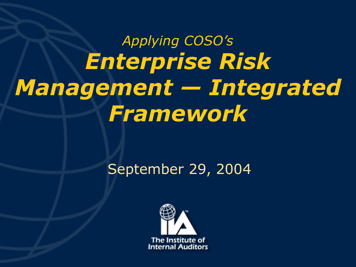# *Applying COSO's Enterprise Risk Management — Integrated Framework*

#### September 29, 2004

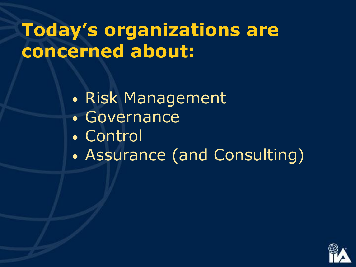## **Today's organizations are concerned about:**

- Risk Management
- Governance
- Control
- Assurance (and Consulting)

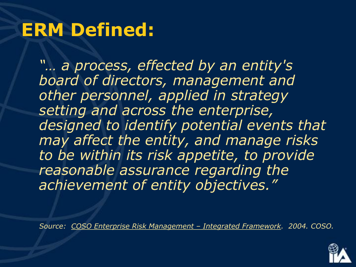#### **ERM Defined:**

*"… a process, effected by an entity's board of directors, management and other personnel, applied in strategy setting and across the enterprise, designed to identify potential events that may affect the entity, and manage risks to be within its risk appetite, to provide reasonable assurance regarding the achievement of entity objectives."*

*Source: COSO Enterprise Risk Management – Integrated Framework. 2004. COSO.*

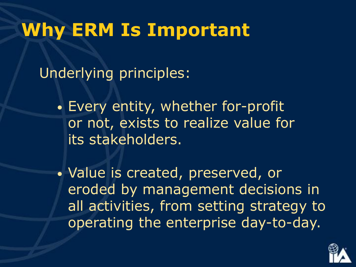#### **Why ERM Is Important**

Underlying principles:

• Every entity, whether for-profit or not, exists to realize value for its stakeholders.

• Value is created, preserved, or eroded by management decisions in all activities, from setting strategy to operating the enterprise day-to-day.

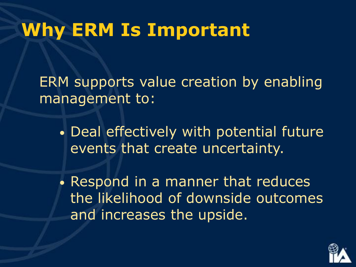#### **Why ERM Is Important**

ERM supports value creation by enabling management to:

• Deal effectively with potential future events that create uncertainty.

• Respond in a manner that reduces the likelihood of downside outcomes and increases the upside.

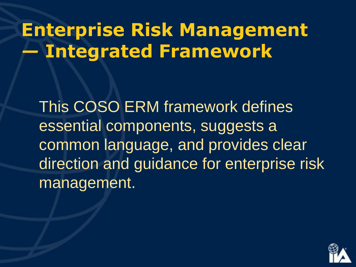## **Enterprise Risk Management**  *—* **Integrated Framework**

This COSO ERM framework defines essential components, suggests a common language, and provides clear direction and guidance for enterprise risk management.

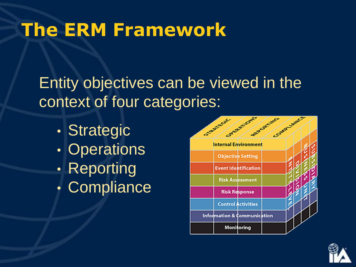Entity objectives can be viewed in the context of four categories:

- Strategic
- **Operations**
- Reporting
- Compliance



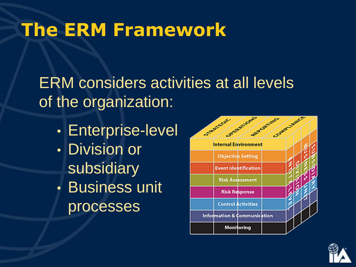ERM considers activities at all levels of the organization:

• Enterprise-level • Division or subsidiary • Business unit processes



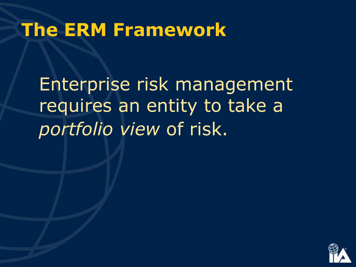Enterprise risk management requires an entity to take a *portfolio view* of risk.

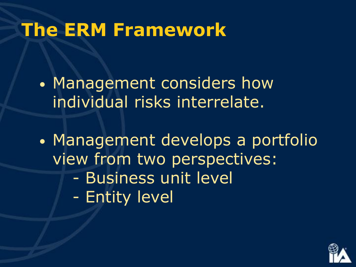• Management considers how individual risks interrelate.

• Management develops a portfolio view from two perspectives: - Business unit level - Entity level

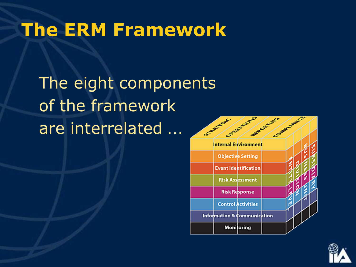The eight components of the framework are interrelated …



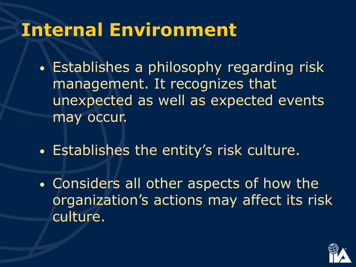#### **Internal Environment**

- Establishes a philosophy regarding risk management. It recognizes that unexpected as well as expected events may occur.
- Establishes the entity's risk culture.
- Considers all other aspects of how the organization's actions may affect its risk culture.

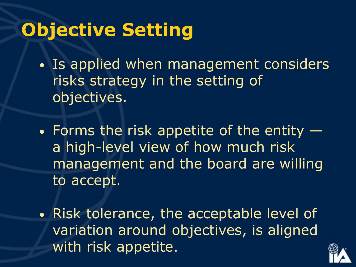### **Objective Setting**

- Is applied when management considers risks strategy in the setting of objectives.
- Forms the risk appetite of the entity a high-level view of how much risk management and the board are willing to accept.
- Risk tolerance, the acceptable level of variation around objectives, is aligned with risk appetite.

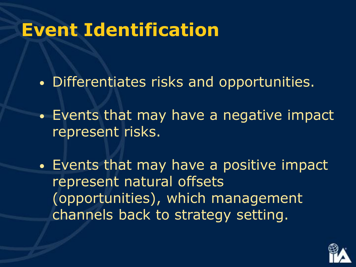#### **Event Identification**

- Differentiates risks and opportunities.
- Events that may have a negative impact represent risks.
- Events that may have a positive impact represent natural offsets (opportunities), which management channels back to strategy setting.

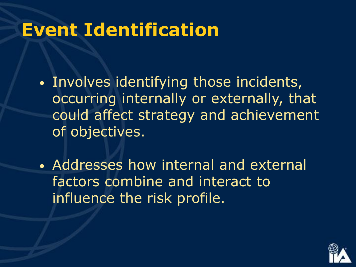#### **Event Identification**

- Involves identifying those incidents, occurring internally or externally, that could affect strategy and achievement of objectives.
- Addresses how internal and external factors combine and interact to influence the risk profile.

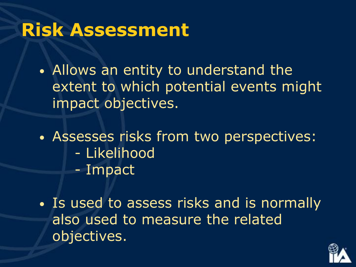#### **Risk Assessment**

• Allows an entity to understand the extent to which potential events might impact objectives.

- Assesses risks from two perspectives: - Likelihood
	- Impact
- Is used to assess risks and is normally also used to measure the related objectives.

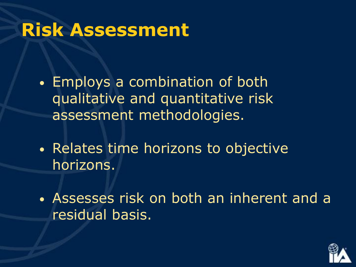#### **Risk Assessment**

- Employs a combination of both qualitative and quantitative risk assessment methodologies.
- Relates time horizons to objective horizons.
- Assesses risk on both an inherent and a residual basis.

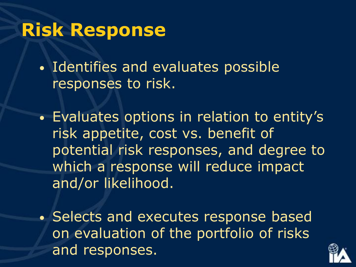#### **Risk Response**

• Identifies and evaluates possible responses to risk.

- Evaluates options in relation to entity's risk appetite, cost vs. benefit of potential risk responses, and degree to which a response will reduce impact and/or likelihood.
- Selects and executes response based on evaluation of the portfolio of risks and responses.

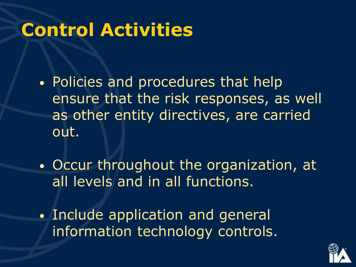#### **Control Activities**

- Policies and procedures that help ensure that the risk responses, as well as other entity directives, are carried out.
- Occur throughout the organization, at all levels and in all functions.
- Include application and general information technology controls.

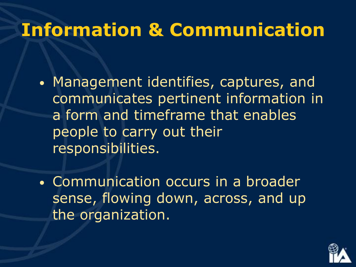#### **Information & Communication**

- Management identifies, captures, and communicates pertinent information in a form and timeframe that enables people to carry out their responsibilities.
- Communication occurs in a broader sense, flowing down, across, and up the organization.

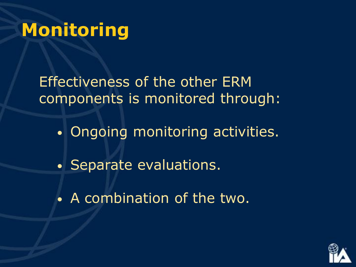#### **Monitoring**

Effectiveness of the other ERM components is monitored through:

- Ongoing monitoring activities.
- Separate evaluations.
- A combination of the two.

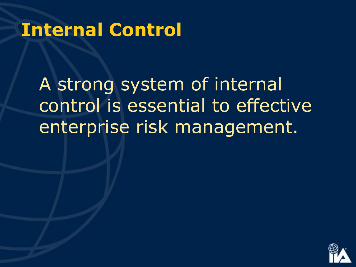#### **Internal Control**

A strong system of internal control is essential to effective enterprise risk management.

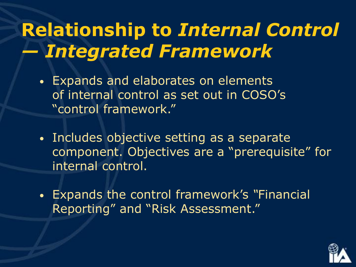## **Relationship to** *Internal Control — Integrated Framework*

- Expands and elaborates on elements of internal control as set out in COSO's "control framework."
- Includes objective setting as a separate component. Objectives are a "prerequisite" for internal control.
- Expands the control framework's *"*Financial Reporting" and "Risk Assessment."

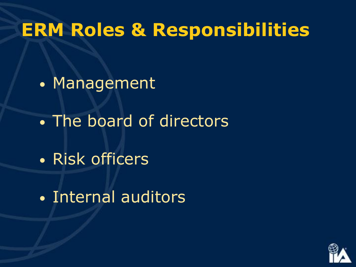#### **ERM Roles & Responsibilities**

- Management
- The board of directors
- Risk officers
- Internal auditors

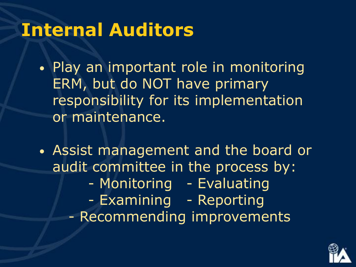#### **Internal Auditors**

• Play an important role in monitoring ERM, but do NOT have primary responsibility for its implementation or maintenance.

• Assist management and the board or audit committee in the process by: - Monitoring - Evaluating - Examining - Reporting - Recommending improvements

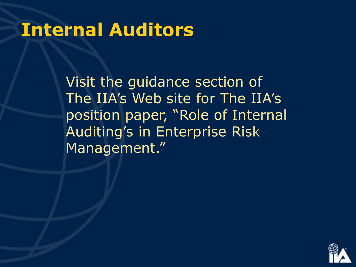#### **Internal Auditors**

Visit the guidance section of The IIA's Web site for The IIA's position paper, "Role of Internal Auditing's in Enterprise Risk Management."

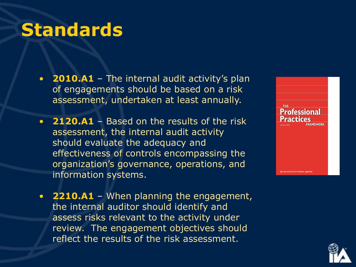#### **Standards**

- **2010.A1** The internal audit activity's plan of engagements should be based on a risk assessment, undertaken at least annually.
- **2120.A1** Based on the results of the risk assessment, the internal audit activity should evaluate the adequacy and effectiveness of controls encompassing the organization's governance, operations, and information systems.
- **2210.A1** When planning the engagement, the internal auditor should identify and assess risks relevant to the activity under review. The engagement objectives should reflect the results of the risk assessment.



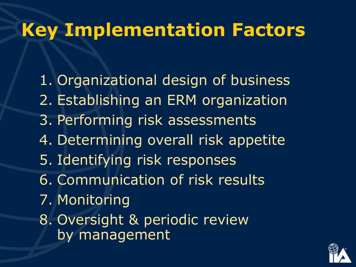#### **Key Implementation Factors**

1. Organizational design of business 2. Establishing an ERM organization 3. Performing risk assessments 4. Determining overall risk appetite 5. Identifying risk responses 6. Communication of risk results 7. Monitoring 8. Oversight & periodic review by management

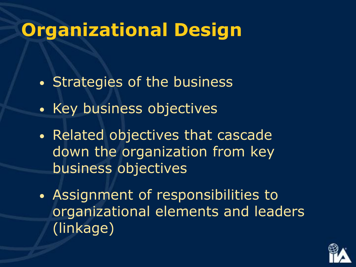### **Organizational Design**

- Strategies of the business
- Key business objectives
- Related objectives that cascade down the organization from key business objectives
- Assignment of responsibilities to organizational elements and leaders (linkage)

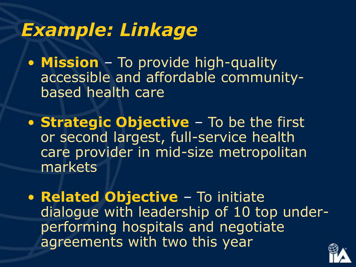#### *Example: Linkage*

• **Mission** – To provide high-quality accessible and affordable communitybased health care

• **Strategic Objective** – To be the first or second largest, full-service health care provider in mid-size metropolitan markets

• **Related Objective** – To initiate dialogue with leadership of 10 top underperforming hospitals and negotiate agreements with two this year

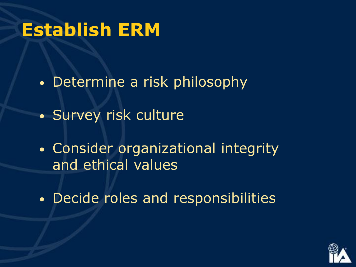#### **Establish ERM**

- Determine a risk philosophy
- Survey risk culture
- Consider organizational integrity and ethical values
- Decide roles and responsibilities

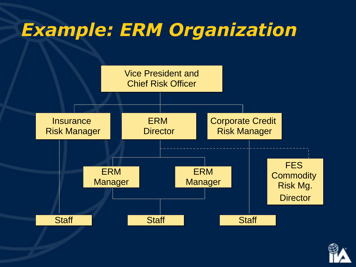#### *Example: ERM Organization*



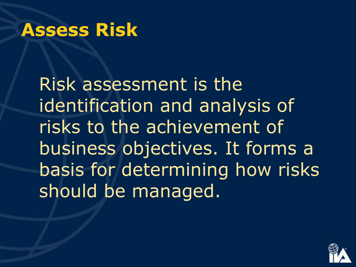#### **Assess Risk**

Risk assessment is the identification and analysis of risks to the achievement of business objectives. It forms a basis for determining how risks should be managed.

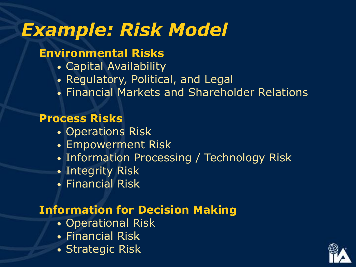### *Example: Risk Model*

#### **Environmental Risks**

- Capital Availability
- Regulatory, Political, and Legal
- Financial Markets and Shareholder Relations

#### **Process Risks**

- Operations Risk
- Empowerment Risk
- Information Processing / Technology Risk
- Integrity Risk
- Financial Risk

#### **Information for Decision Making**

- Operational Risk
- Financial Risk
- Strategic Risk

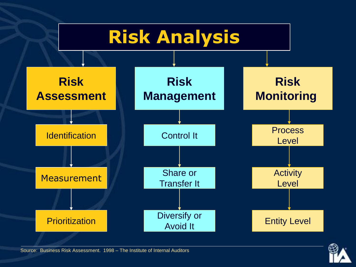



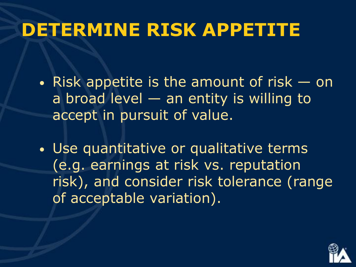#### **DETERMINE RISK APPETITE**

- Risk appetite is the amount of risk on a broad level — an entity is willing to accept in pursuit of value.
- Use quantitative or qualitative terms (e.g. earnings at risk vs. reputation risk), and consider risk tolerance (range of acceptable variation).

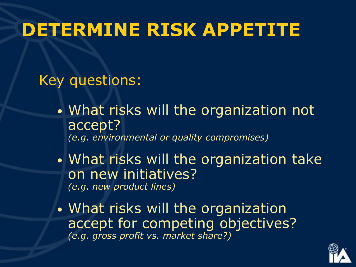#### **DETERMINE RISK APPETITE**

Key questions:

- What risks will the organization not accept? *(e.g. environmental or quality compromises)*
- What risks will the organization take on new initiatives? *(e.g. new product lines)*
- What risks will the organization accept for competing objectives? *(e.g. gross profit vs. market share?)*

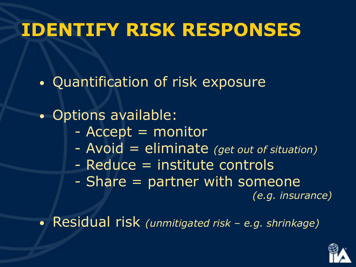### **IDENTIFY RISK RESPONSES**

• Quantification of risk exposure

• Options available:

- Accept = monitor
- Avoid = eliminate *(get out of situation)*
- Reduce = institute controls
- Share = partner with someone

*(e.g. insurance)*

• Residual risk *(unmitigated risk – e.g. shrinkage)*

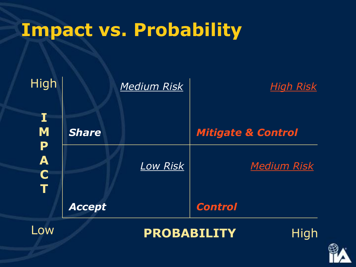#### **Impact vs. Probability**



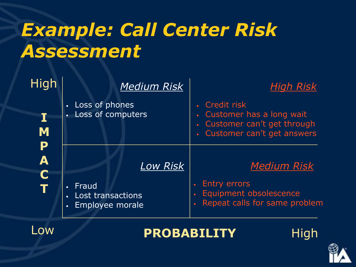## *Example: Call Center Risk Assessment*

| High                                   | <b>Medium Risk</b>                                             | <b>High Risk</b>                                                                                                       |
|----------------------------------------|----------------------------------------------------------------|------------------------------------------------------------------------------------------------------------------------|
| I<br>M                                 | Loss of phones<br>$\bullet$<br>Loss of computers<br>$\bullet$  | Credit risk<br>Customer has a long wait<br>$\bullet^\circ$<br>Customer can't get through<br>Customer can't get answers |
| P<br>$\overline{\mathbf{A}}$<br>C<br>Ť | <b>Low Risk</b><br>Fraud<br>$\bullet$                          | <b>Medium Risk</b><br><b>Entry errors</b>                                                                              |
|                                        | Lost transactions<br>$\bullet$<br>Employee morale<br>$\bullet$ | Equipment obsolescence<br>Repeat calls for same problem                                                                |



#### **PROBABILITY**



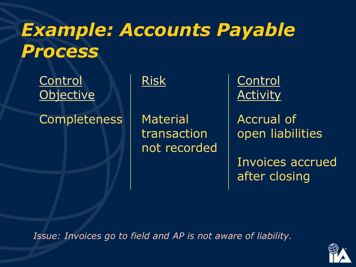### *Example: Accounts Payable Process*

Control | Risk | Control Objective Activity

Completeness | Material | Accrual of

not recorded

 $transaction$  | open liabilities

Invoices accrued after closing

*Issue: Invoices go to field and AP is not aware of liability.*

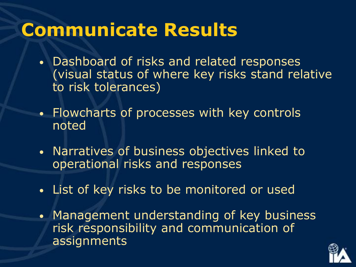#### **Communicate Results**

- Dashboard of risks and related responses (visual status of where key risks stand relative to risk tolerances)
- Flowcharts of processes with key controls noted
- Narratives of business objectives linked to operational risks and responses
- List of key risks to be monitored or used
- Management understanding of key business risk responsibility and communication of assignments

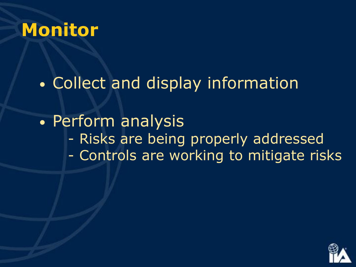#### **Monitor**

• Collect and display information

• Perform analysis - Risks are being properly addressed - Controls are working to mitigate risks

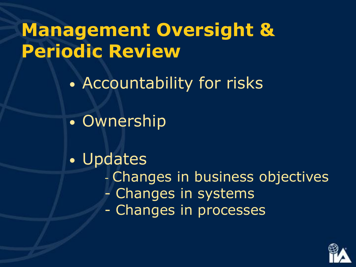### **Management Oversight & Periodic Review**

- Accountability for risks
- Ownership
- Updates - Changes in business objectives - Changes in systems - Changes in processes

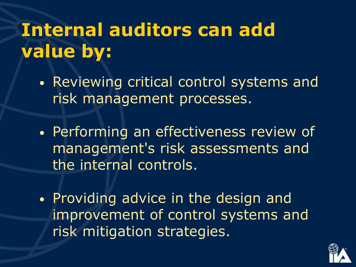## **Internal auditors can add value by:**

- Reviewing critical control systems and risk management processes.
- Performing an effectiveness review of management's risk assessments and the internal controls.
- Providing advice in the design and improvement of control systems and risk mitigation strategies.

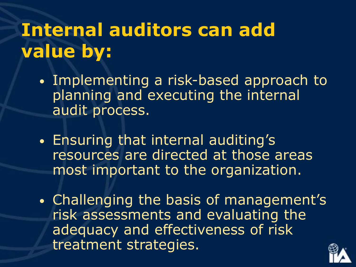## **Internal auditors can add value by:**

- Implementing a risk-based approach to planning and executing the internal audit process.
- Ensuring that internal auditing's resources are directed at those areas most important to the organization.
- Challenging the basis of management's risk assessments and evaluating the adequacy and effectiveness of risk treatment strategies.

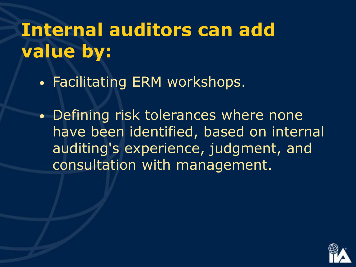## **Internal auditors can add value by:**

• Facilitating ERM workshops.

• Defining risk tolerances where none have been identified, based on internal auditing's experience, judgment, and consultation with management.

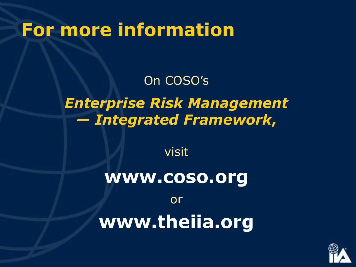#### **For more information**

#### On COSO's *Enterprise Risk Management — Integrated Framework***,**

visit

# **www.coso.org**

or **www.theiia.org**